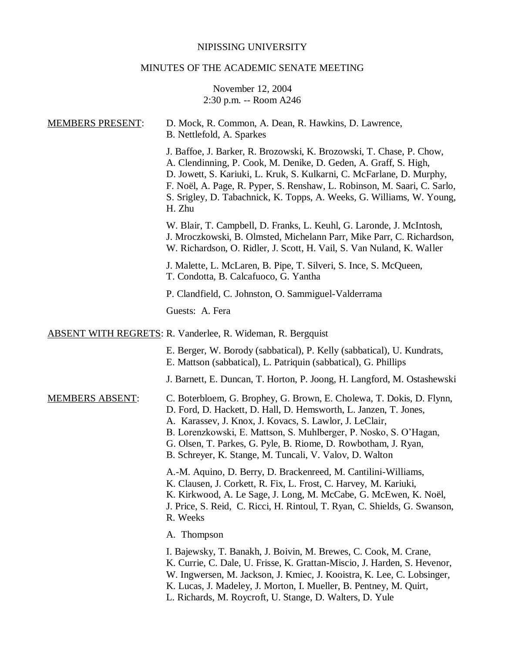# NIPISSING UNIVERSITY

## MINUTES OF THE ACADEMIC SENATE MEETING

## November 12, 2004 2:30 p.m. -- Room A246

| <b>MEMBERS PRESENT:</b> | D. Mock, R. Common, A. Dean, R. Hawkins, D. Lawrence,<br>B. Nettlefold, A. Sparkes                                                                                                                                                                                                                                                                                                                    |
|-------------------------|-------------------------------------------------------------------------------------------------------------------------------------------------------------------------------------------------------------------------------------------------------------------------------------------------------------------------------------------------------------------------------------------------------|
|                         | J. Baffoe, J. Barker, R. Brozowski, K. Brozowski, T. Chase, P. Chow,<br>A. Clendinning, P. Cook, M. Denike, D. Geden, A. Graff, S. High,<br>D. Jowett, S. Kariuki, L. Kruk, S. Kulkarni, C. McFarlane, D. Murphy,<br>F. Noël, A. Page, R. Pyper, S. Renshaw, L. Robinson, M. Saari, C. Sarlo,<br>S. Srigley, D. Tabachnick, K. Topps, A. Weeks, G. Williams, W. Young,<br>H. Zhu                      |
|                         | W. Blair, T. Campbell, D. Franks, L. Keuhl, G. Laronde, J. McIntosh,<br>J. Mroczkowski, B. Olmsted, Michelann Parr, Mike Parr, C. Richardson,<br>W. Richardson, O. Ridler, J. Scott, H. Vail, S. Van Nuland, K. Waller                                                                                                                                                                                |
|                         | J. Malette, L. McLaren, B. Pipe, T. Silveri, S. Ince, S. McQueen,<br>T. Condotta, B. Calcafuoco, G. Yantha                                                                                                                                                                                                                                                                                            |
|                         | P. Clandfield, C. Johnston, O. Sammiguel-Valderrama                                                                                                                                                                                                                                                                                                                                                   |
|                         | Guests: A. Fera                                                                                                                                                                                                                                                                                                                                                                                       |
|                         | <b>ABSENT WITH REGRETS: R. Vanderlee, R. Wideman, R. Bergquist</b>                                                                                                                                                                                                                                                                                                                                    |
|                         | E. Berger, W. Borody (sabbatical), P. Kelly (sabbatical), U. Kundrats,<br>E. Mattson (sabbatical), L. Patriquin (sabbatical), G. Phillips                                                                                                                                                                                                                                                             |
|                         | J. Barnett, E. Duncan, T. Horton, P. Joong, H. Langford, M. Ostashewski                                                                                                                                                                                                                                                                                                                               |
| <b>MEMBERS ABSENT:</b>  | C. Boterbloem, G. Brophey, G. Brown, E. Cholewa, T. Dokis, D. Flynn,<br>D. Ford, D. Hackett, D. Hall, D. Hemsworth, L. Janzen, T. Jones,<br>A. Karassev, J. Knox, J. Kovacs, S. Lawlor, J. LeClair,<br>B. Lorenzkowski, E. Mattson, S. Muhlberger, P. Nosko, S. O'Hagan,<br>G. Olsen, T. Parkes, G. Pyle, B. Riome, D. Rowbotham, J. Ryan,<br>B. Schreyer, K. Stange, M. Tuncali, V. Valov, D. Walton |
|                         | A.-M. Aquino, D. Berry, D. Brackenreed, M. Cantilini-Williams,<br>K. Clausen, J. Corkett, R. Fix, L. Frost, C. Harvey, M. Kariuki,<br>K. Kirkwood, A. Le Sage, J. Long, M. McCabe, G. McEwen, K. Noël,<br>J. Price, S. Reid, C. Ricci, H. Rintoul, T. Ryan, C. Shields, G. Swanson,<br>R. Weeks                                                                                                       |
|                         | A. Thompson                                                                                                                                                                                                                                                                                                                                                                                           |
|                         | I. Bajewsky, T. Banakh, J. Boivin, M. Brewes, C. Cook, M. Crane,<br>K. Currie, C. Dale, U. Frisse, K. Grattan-Miscio, J. Harden, S. Hevenor,<br>W. Ingwersen, M. Jackson, J. Kmiec, J. Kooistra, K. Lee, C. Lobsinger,<br>K. Lucas, J. Madeley, J. Morton, I. Mueller, B. Pentney, M. Quirt,<br>L. Richards, M. Roycroft, U. Stange, D. Walters, D. Yule                                              |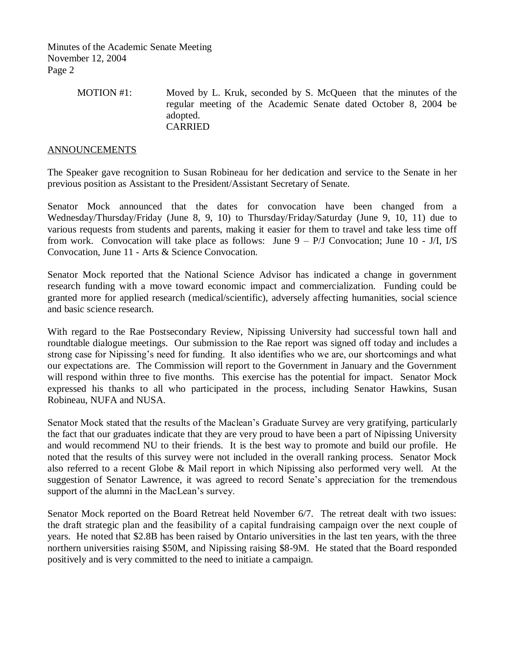> MOTION #1: Moved by L. Kruk, seconded by S. McQueen that the minutes of the regular meeting of the Academic Senate dated October 8, 2004 be adopted. CARRIED

### ANNOUNCEMENTS

The Speaker gave recognition to Susan Robineau for her dedication and service to the Senate in her previous position as Assistant to the President/Assistant Secretary of Senate.

Senator Mock announced that the dates for convocation have been changed from a Wednesday/Thursday/Friday (June 8, 9, 10) to Thursday/Friday/Saturday (June 9, 10, 11) due to various requests from students and parents, making it easier for them to travel and take less time off from work. Convocation will take place as follows: June  $9 - P/J$  Convocation; June  $10 - J/I$ , I/S Convocation, June 11 - Arts & Science Convocation.

Senator Mock reported that the National Science Advisor has indicated a change in government research funding with a move toward economic impact and commercialization. Funding could be granted more for applied research (medical/scientific), adversely affecting humanities, social science and basic science research.

With regard to the Rae Postsecondary Review, Nipissing University had successful town hall and roundtable dialogue meetings. Our submission to the Rae report was signed off today and includes a strong case for Nipissing's need for funding. It also identifies who we are, our shortcomings and what our expectations are. The Commission will report to the Government in January and the Government will respond within three to five months. This exercise has the potential for impact. Senator Mock expressed his thanks to all who participated in the process, including Senator Hawkins, Susan Robineau, NUFA and NUSA.

Senator Mock stated that the results of the Maclean's Graduate Survey are very gratifying, particularly the fact that our graduates indicate that they are very proud to have been a part of Nipissing University and would recommend NU to their friends. It is the best way to promote and build our profile. He noted that the results of this survey were not included in the overall ranking process. Senator Mock also referred to a recent Globe & Mail report in which Nipissing also performed very well. At the suggestion of Senator Lawrence, it was agreed to record Senate's appreciation for the tremendous support of the alumni in the MacLean's survey.

Senator Mock reported on the Board Retreat held November 6/7. The retreat dealt with two issues: the draft strategic plan and the feasibility of a capital fundraising campaign over the next couple of years. He noted that \$2.8B has been raised by Ontario universities in the last ten years, with the three northern universities raising \$50M, and Nipissing raising \$8-9M. He stated that the Board responded positively and is very committed to the need to initiate a campaign.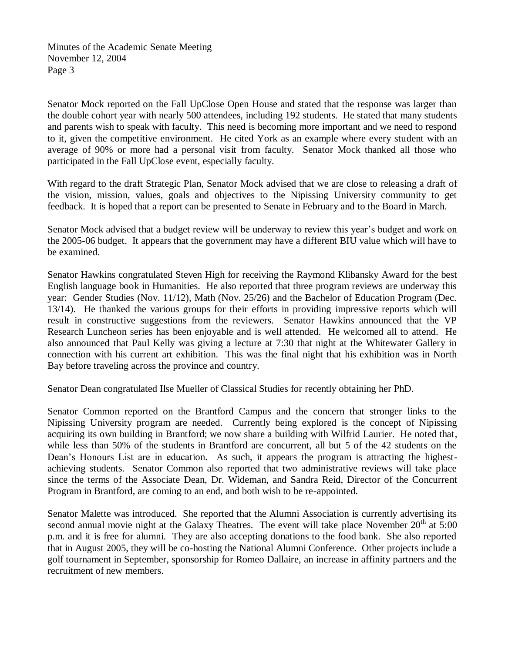Senator Mock reported on the Fall UpClose Open House and stated that the response was larger than the double cohort year with nearly 500 attendees, including 192 students. He stated that many students and parents wish to speak with faculty. This need is becoming more important and we need to respond to it, given the competitive environment. He cited York as an example where every student with an average of 90% or more had a personal visit from faculty. Senator Mock thanked all those who participated in the Fall UpClose event, especially faculty.

With regard to the draft Strategic Plan, Senator Mock advised that we are close to releasing a draft of the vision, mission, values, goals and objectives to the Nipissing University community to get feedback. It is hoped that a report can be presented to Senate in February and to the Board in March.

Senator Mock advised that a budget review will be underway to review this year's budget and work on the 2005-06 budget. It appears that the government may have a different BIU value which will have to be examined.

Senator Hawkins congratulated Steven High for receiving the Raymond Klibansky Award for the best English language book in Humanities. He also reported that three program reviews are underway this year: Gender Studies (Nov. 11/12), Math (Nov. 25/26) and the Bachelor of Education Program (Dec. 13/14). He thanked the various groups for their efforts in providing impressive reports which will result in constructive suggestions from the reviewers. Senator Hawkins announced that the VP Research Luncheon series has been enjoyable and is well attended. He welcomed all to attend. He also announced that Paul Kelly was giving a lecture at 7:30 that night at the Whitewater Gallery in connection with his current art exhibition. This was the final night that his exhibition was in North Bay before traveling across the province and country.

Senator Dean congratulated Ilse Mueller of Classical Studies for recently obtaining her PhD.

Senator Common reported on the Brantford Campus and the concern that stronger links to the Nipissing University program are needed. Currently being explored is the concept of Nipissing acquiring its own building in Brantford; we now share a building with Wilfrid Laurier. He noted that, while less than 50% of the students in Brantford are concurrent, all but 5 of the 42 students on the Dean's Honours List are in education. As such, it appears the program is attracting the highestachieving students. Senator Common also reported that two administrative reviews will take place since the terms of the Associate Dean, Dr. Wideman, and Sandra Reid, Director of the Concurrent Program in Brantford, are coming to an end, and both wish to be re-appointed.

Senator Malette was introduced. She reported that the Alumni Association is currently advertising its second annual movie night at the Galaxy Theatres. The event will take place November  $20<sup>th</sup>$  at 5:00 p.m. and it is free for alumni. They are also accepting donations to the food bank. She also reported that in August 2005, they will be co-hosting the National Alumni Conference. Other projects include a golf tournament in September, sponsorship for Romeo Dallaire, an increase in affinity partners and the recruitment of new members.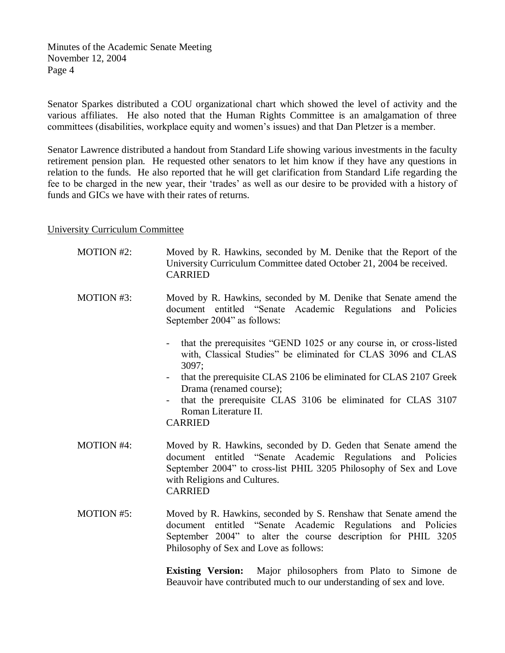Senator Sparkes distributed a COU organizational chart which showed the level of activity and the various affiliates. He also noted that the Human Rights Committee is an amalgamation of three committees (disabilities, workplace equity and women's issues) and that Dan Pletzer is a member.

Senator Lawrence distributed a handout from Standard Life showing various investments in the faculty retirement pension plan. He requested other senators to let him know if they have any questions in relation to the funds. He also reported that he will get clarification from Standard Life regarding the fee to be charged in the new year, their 'trades' as well as our desire to be provided with a history of funds and GICs we have with their rates of returns.

### University Curriculum Committee

- MOTION #2: Moved by R. Hawkins, seconded by M. Denike that the Report of the University Curriculum Committee dated October 21, 2004 be received. CARRIED MOTION #3: Moved by R. Hawkins, seconded by M. Denike that Senate amend the document entitled "Senate Academic Regulations and Policies September 2004" as follows: that the prerequisites "GEND 1025 or any course in, or cross-listed with, Classical Studies" be eliminated for CLAS 3096 and CLAS 3097; - that the prerequisite CLAS 2106 be eliminated for CLAS 2107 Greek Drama (renamed course); that the prerequisite CLAS 3106 be eliminated for CLAS 3107 Roman Literature II. CARRIED MOTION #4: Moved by R. Hawkins, seconded by D. Geden that Senate amend the
- document entitled "Senate Academic Regulations and Policies September 2004" to cross-list PHIL 3205 Philosophy of Sex and Love with Religions and Cultures. CARRIED
- MOTION #5: Moved by R. Hawkins, seconded by S. Renshaw that Senate amend the document entitled "Senate Academic Regulations and Policies September 2004" to alter the course description for PHIL 3205 Philosophy of Sex and Love as follows:

**Existing Version:** Major philosophers from Plato to Simone de Beauvoir have contributed much to our understanding of sex and love.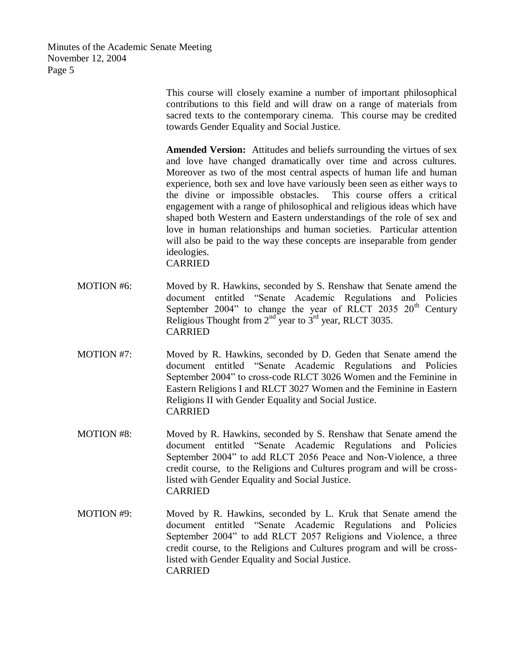> This course will closely examine a number of important philosophical contributions to this field and will draw on a range of materials from sacred texts to the contemporary cinema. This course may be credited towards Gender Equality and Social Justice.

> **Amended Version:** Attitudes and beliefs surrounding the virtues of sex and love have changed dramatically over time and across cultures. Moreover as two of the most central aspects of human life and human experience, both sex and love have variously been seen as either ways to the divine or impossible obstacles. This course offers a critical engagement with a range of philosophical and religious ideas which have shaped both Western and Eastern understandings of the role of sex and love in human relationships and human societies. Particular attention will also be paid to the way these concepts are inseparable from gender ideologies.

CARRIED

- MOTION #6: Moved by R. Hawkins, seconded by S. Renshaw that Senate amend the document entitled "Senate Academic Regulations and Policies September 2004" to change the year of RLCT 2035  $20<sup>th</sup>$  Century Religious Thought from  $2<sup>nd</sup>$  year to  $3<sup>rd</sup>$  year, RLCT 3035. CARRIED
- MOTION #7: Moved by R. Hawkins, seconded by D. Geden that Senate amend the document entitled "Senate Academic Regulations and Policies September 2004" to cross-code RLCT 3026 Women and the Feminine in Eastern Religions I and RLCT 3027 Women and the Feminine in Eastern Religions II with Gender Equality and Social Justice. CARRIED
- MOTION #8: Moved by R. Hawkins, seconded by S. Renshaw that Senate amend the document entitled "Senate Academic Regulations and Policies September 2004" to add RLCT 2056 Peace and Non-Violence, a three credit course, to the Religions and Cultures program and will be crosslisted with Gender Equality and Social Justice. CARRIED
- MOTION #9: Moved by R. Hawkins, seconded by L. Kruk that Senate amend the document entitled "Senate Academic Regulations and Policies September 2004" to add RLCT 2057 Religions and Violence, a three credit course, to the Religions and Cultures program and will be crosslisted with Gender Equality and Social Justice. CARRIED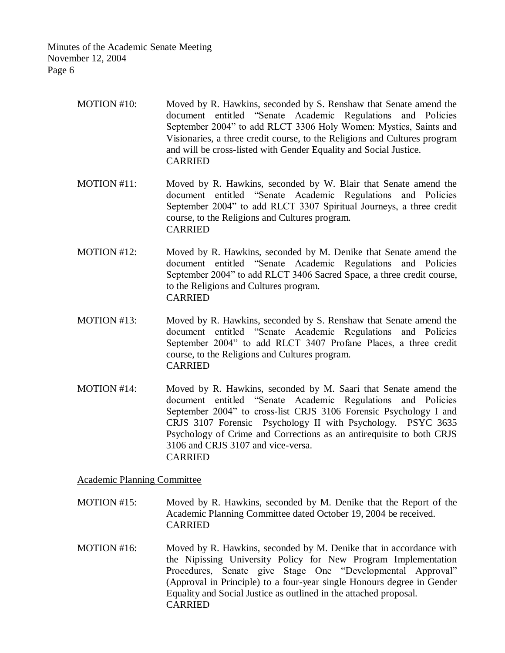- MOTION #10: Moved by R. Hawkins, seconded by S. Renshaw that Senate amend the document entitled "Senate Academic Regulations and Policies September 2004" to add RLCT 3306 Holy Women: Mystics, Saints and Visionaries, a three credit course, to the Religions and Cultures program and will be cross-listed with Gender Equality and Social Justice. CARRIED
- MOTION #11: Moved by R. Hawkins, seconded by W. Blair that Senate amend the document entitled "Senate Academic Regulations and Policies September 2004" to add RLCT 3307 Spiritual Journeys, a three credit course, to the Religions and Cultures program. CARRIED
- MOTION #12: Moved by R. Hawkins, seconded by M. Denike that Senate amend the document entitled "Senate Academic Regulations and Policies September 2004" to add RLCT 3406 Sacred Space, a three credit course, to the Religions and Cultures program. CARRIED
- MOTION #13: Moved by R. Hawkins, seconded by S. Renshaw that Senate amend the document entitled "Senate Academic Regulations and Policies September 2004" to add RLCT 3407 Profane Places, a three credit course, to the Religions and Cultures program. CARRIED
- MOTION #14: Moved by R. Hawkins, seconded by M. Saari that Senate amend the document entitled "Senate Academic Regulations and Policies September 2004" to cross-list CRJS 3106 Forensic Psychology I and CRJS 3107 Forensic Psychology II with Psychology. PSYC 3635 Psychology of Crime and Corrections as an antirequisite to both CRJS 3106 and CRJS 3107 and vice-versa. CARRIED

Academic Planning Committee

- MOTION #15: Moved by R. Hawkins, seconded by M. Denike that the Report of the Academic Planning Committee dated October 19, 2004 be received. CARRIED
- MOTION #16: Moved by R. Hawkins, seconded by M. Denike that in accordance with the Nipissing University Policy for New Program Implementation Procedures, Senate give Stage One "Developmental Approval" (Approval in Principle) to a four-year single Honours degree in Gender Equality and Social Justice as outlined in the attached proposal. CARRIED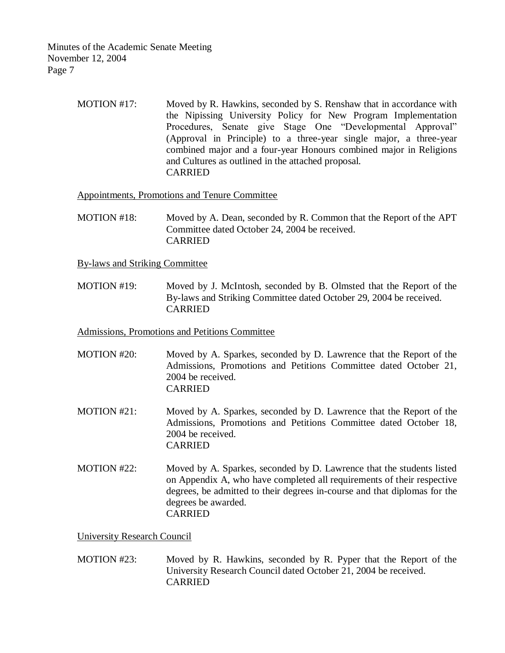> MOTION #17: Moved by R. Hawkins, seconded by S. Renshaw that in accordance with the Nipissing University Policy for New Program Implementation Procedures, Senate give Stage One "Developmental Approval" (Approval in Principle) to a three-year single major, a three-year combined major and a four-year Honours combined major in Religions and Cultures as outlined in the attached proposal. CARRIED

Appointments, Promotions and Tenure Committee

MOTION #18: Moved by A. Dean, seconded by R. Common that the Report of the APT Committee dated October 24, 2004 be received. CARRIED

By-laws and Striking Committee

MOTION #19: Moved by J. McIntosh, seconded by B. Olmsted that the Report of the By-laws and Striking Committee dated October 29, 2004 be received. CARRIED

Admissions, Promotions and Petitions Committee

- MOTION #20: Moved by A. Sparkes, seconded by D. Lawrence that the Report of the Admissions, Promotions and Petitions Committee dated October 21, 2004 be received. CARRIED
- MOTION #21: Moved by A. Sparkes, seconded by D. Lawrence that the Report of the Admissions, Promotions and Petitions Committee dated October 18, 2004 be received. CARRIED
- MOTION #22: Moved by A. Sparkes, seconded by D. Lawrence that the students listed on Appendix A, who have completed all requirements of their respective degrees, be admitted to their degrees in-course and that diplomas for the degrees be awarded. CARRIED

University Research Council

MOTION #23: Moved by R. Hawkins, seconded by R. Pyper that the Report of the University Research Council dated October 21, 2004 be received. CARRIED